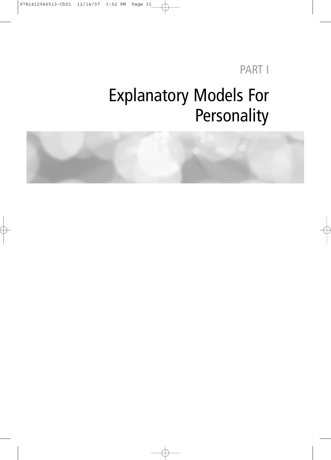# PART I

# Explanatory Models For Personality

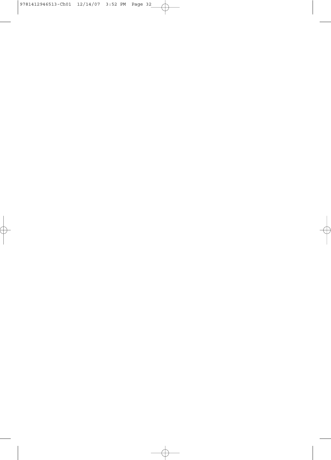9781412946513-Ch01 12/14/07 3:52 PM Page 32 $\Rightarrow$ 

 $\Rightarrow$ 

 $\Rightarrow$ 

 $\Rightarrow$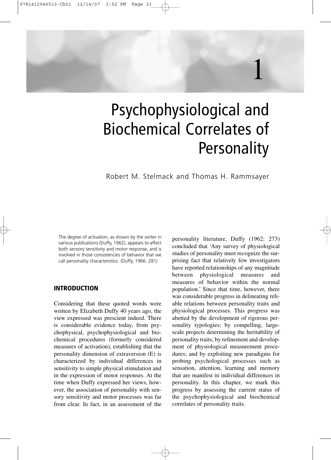# 1

# Psychophysiological and Biochemical Correlates of **Personality**

Robert M. Stelmack and Thomas H. Rammsayer

The degree of activation, as shown by the writer in various publications (Duffy, 1962), appears to affect both sensory sensitivity and motor response, and is involved in those consistencies of behavior that we call personality characteristics. (Duffy, 1966: 281)

#### **INTRODUCTION**

Considering that these quoted words were written by Elizabeth Duffy 40 years ago, the view expressed was prescient indeed. There is considerable evidence today, from psychophysical, psychophysiological and biochemical procedures (formerly considered measures of activation), establishing that the personality dimension of extraversion (E) is characterized by individual differences in sensitivity to simple physical stimulation and in the expression of motor responses. At the time when Duffy expressed her views, however, the association of personality with sensory sensitivity and motor processes was far from clear. In fact, in an assessment of the personality literature, Duffy (1962: 273) concluded that 'Any survey of physiological studies of personality must recognize the surprising fact that relatively few investigators have reported relationships of any magnitude between physiological measures and measures of behavior within the normal population.' Since that time, however, there was considerable progress in delineating reliable relations between personality traits and physiological processes. This progress was abetted by the development of rigorous personality typologies; by compelling, largescale projects determining the heritability of personality traits; by refinement and development of physiological measurement procedures; and by exploiting new paradigms for probing psychological processes such as sensation, attention, learning and memory that are manifest in individual differences in personality. In this chapter, we mark this progress by assessing the current status of the psychophysiological and biochemical correlates of personality traits.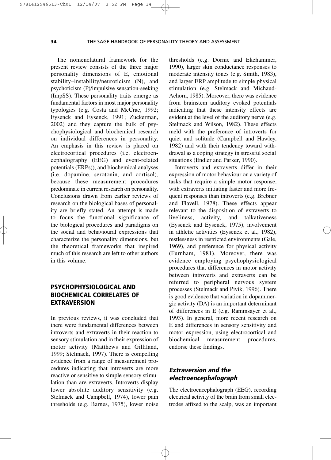The nomenclatural framework for the present review consists of the three major personality dimensions of E, emotional stability–instability/neuroticism (N), and psychoticism (P)/impulsive sensation-seeking (ImpSS). These personality traits emerge as fundamental factors in most major personality typologies (e.g. Costa and McCrae, 1992; Eysenck and Eysenck, 1991; Zuckerman, 2002) and they capture the bulk of psychophysiological and biochemical research on individual differences in personality. An emphasis in this review is placed on electrocortical procedures (i.e. electroencephalography (EEG) and event-related potentials (ERPs)), and biochemical analyses (i.e. dopamine, serotonin, and cortisol), because these measurement procedures predominate in current research on personality. Conclusions drawn from earlier reviews of research on the biological bases of personality are briefly stated. An attempt is made to focus the functional significance of the biological procedures and paradigms on the social and behavioural expressions that characterize the personality dimensions, but the theoretical frameworks that inspired much of this research are left to other authors in this volume.

# **PSYCHOPHYSIOLOGICAL AND BIOCHEMICAL CORRELATES OF EXTRAVERSION**

In previous reviews, it was concluded that there were fundamental differences between introverts and extraverts in their reaction to sensory stimulation and in their expression of motor activity (Matthews and Gilliland, 1999; Stelmack, 1997). There is compelling evidence from a range of measurement procedures indicating that introverts are more reactive or sensitive to simple sensory stimulation than are extraverts. Introverts display lower absolute auditory sensitivity (e.g. Stelmack and Campbell, 1974), lower pain thresholds (e.g. Barnes, 1975), lower noise thresholds (e.g. Dornic and Ekehammer, 1990), larger skin conductance responses to moderate intensity tones (e.g. Smith, 1983), and larger ERP amplitude to simple physical stimulation (e.g. Stelmack and Michaud-Achorn, 1985). Moreover, there was evidence from brainstem auditory evoked potentials indicating that these intensity effects are evident at the level of the auditory nerve (e.g. Stelmack and Wilson, 1982). These effects meld with the preference of introverts for quiet and solitude (Campbell and Hawley, 1982) and with their tendency toward withdrawal as a coping strategy in stressful social situations (Endler and Parker, 1990).

Introverts and extraverts differ in their expression of motor behaviour on a variety of tasks that require a simple motor response, with extraverts initiating faster and more frequent responses than introverts (e.g. Brebner and Flavell, 1978). These effects appear relevant to the disposition of extraverts to liveliness, activity, and talkativeness (Eysenck and Eysenck, 1975), involvement in athletic activities (Eysenck et al., 1982), restlessness in restricted environments (Gale, 1969), and preference for physical activity (Furnham, 1981). Moreover, there was evidence employing psychophysiological procedures that differences in motor activity between introverts and extraverts can be referred to peripheral nervous system processes (Stelmack and Pivik, 1996). There is good evidence that variation in dopaminergic activity (DA) is an important determinant of differences in E (e.g. Rammsayer et al., 1993). In general, more recent research on E and differences in sensory sensitivity and motor expression, using electrocortical and biochemical measurement procedures, endorse these findings.

# **Extraversion and the electroencephalograph**

The electroencephalograph (EEG), recording electrical activity of the brain from small electrodes affixed to the scalp, was an important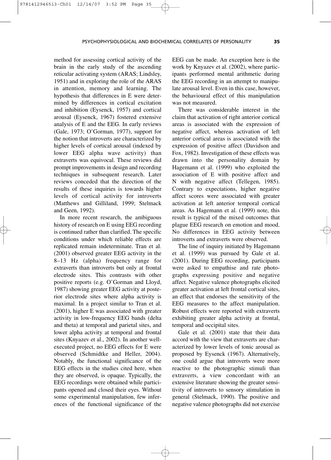9781412946513-Ch01

method for assessing cortical activity of the brain in the early study of the ascending reticular activating system (ARAS; Lindsley, 1951) and in exploring the role of the ARAS in attention, memory and learning. The hypothesis that differences in E were determined by differences in cortical excitation and inhibition (Eysenck, 1957) and cortical arousal (Eysenck, 1967) fostered extensive analysis of E and the EEG. In early reviews (Gale, 1973; O'Gorman, 1977), support for the notion that introverts are characterized by higher levels of cortical arousal (indexed by lower EEG alpha wave activity) than extraverts was equivocal. These reviews did prompt improvements in design and recording techniques in subsequent research. Later reviews conceded that the direction of the results of these inquiries is towards higher levels of cortical activity for introverts (Matthews and Gilliland, 1999; Stelmack and Geen, 1992).

In more recent research, the ambiguous history of research on E using EEG recording is continued rather than clarified. The specific conditions under which reliable effects are replicated remain indeterminate. Tran et al. (2001) observed greater EEG activity in the 8–13 Hz (alpha) frequency range for extraverts than introverts but only at frontal electrode sites. This contrasts with other positive reports (e.g. O'Gorman and Lloyd, 1987) showing greater EEG activity at posterior electrode sites where alpha activity is maximal. In a project similar to Tran et al. (2001), higher E was associated with greater activity in low-frequency EEG bands (delta and theta) at temporal and parietal sites, and lower alpha activity at temporal and frontal sites (Knyazev et al., 2002). In another wellexecuted project, no EEG effects for E were observed (Schmidtke and Heller, 2004). Notably, the functional significance of the EEG effects in the studies cited here, when they are observed, is opaque. Typically, the EEG recordings were obtained while participants opened and closed their eyes. Without some experimental manipulation, few inferences of the functional significance of the

EEG can be made. An exception here is the work by Knyazev et al. (2002), where participants performed mental arithmetic during the EEG recording in an attempt to manipulate arousal level. Even in this case, however, the behavioural effect of this manipulation was not measured.

There was considerable interest in the claim that activation of right anterior cortical areas is associated with the expression of negative affect, whereas activation of left anterior cortical areas is associated with the expression of positive affect (Davidson and Fox, 1982). Investigation of these effects was drawn into the personality domain by Hagemann et al. (1999) who exploited the association of E with positive affect and N with negative affect (Tellegen, 1985). Contrary to expectations, higher negative affect scores were associated with greater activation at left anterior temporal cortical areas. As Hagemann et al. (1999) note, this result is typical of the mixed outcomes that plague EEG research on emotion and mood. No differences in EEG activity between introverts and extraverts were observed.

The line of inquiry initiated by Hagemann et al. (1999) was pursued by Gale et al. (2001). During EEG recording, participants were asked to empathise and rate photographs expressing positive and negative affect. Negative valence photographs elicited greater activation at left frontal cortical sites, an effect that endorses the sensitivity of the EEG measures to the affect manipulation. Robust effects were reported with extraverts exhibiting greater alpha activity at frontal, temporal and occipital sites.

Gale et al. (2001) state that their data accord with the view that extraverts are characterized by lower levels of tonic arousal as proposed by Eysenck (1967). Alternatively, one could argue that introverts were more reactive to the photographic stimuli than extraverts, a view concordant with an extensive literature showing the greater sensitivity of introverts to sensory stimulation in general (Stelmack, 1990). The positive and negative valence photographs did not exercise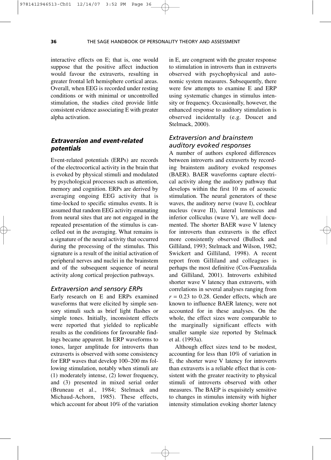interactive effects on E; that is, one would suppose that the positive affect induction would favour the extraverts, resulting in greater frontal left hemisphere cortical areas. Overall, when EEG is recorded under resting conditions or with minimal or uncontrolled stimulation, the studies cited provide little consistent evidence associating E with greater alpha activation.

# **Extraversion and event-related potentials**

Event-related potentials (ERPs) are records of the electrocortical activity in the brain that is evoked by physical stimuli and modulated by psychological processes such as attention, memory and cognition. ERPs are derived by averaging ongoing EEG activity that is time-locked to specific stimulus events. It is assumed that random EEG activity emanating from neural sites that are not engaged in the repeated presentation of the stimulus is cancelled out in the averaging. What remains is a signature of the neural activity that occurred during the processing of the stimulus. This signature is a result of the initial activation of peripheral nerves and nuclei in the brainstem and of the subsequent sequence of neural activity along cortical projection pathways.

#### *Extraversion and sensory ERPs*

Early research on E and ERPs examined waveforms that were elicited by simple sensory stimuli such as brief light flashes or simple tones. Initially, inconsistent effects were reported that yielded to replicable results as the conditions for favourable findings became apparent. In ERP waveforms to tones, larger amplitude for introverts than extraverts is observed with some consistency for ERP waves that develop 100–200 ms following stimulation, notably when stimuli are (1) moderately intense, (2) lower frequency, and (3) presented in mixed serial order (Bruneau et al., 1984; Stelmack and Michaud-Achorn, 1985). These effects, which account for about 10% of the variation in E, are congruent with the greater response to stimulation in introverts than in extraverts observed with psychophysical and autonomic system measures. Subsequently, there were few attempts to examine E and ERP using systematic changes in stimulus intensity or frequency. Occasionally, however, the enhanced response to auditory stimulation is observed incidentally (e.g. Doucet and Stelmack, 2000).

# *Extraversion and brainstem auditory evoked responses*

A number of authors explored differences between introverts and extraverts by recording brainstem auditory evoked responses (BAER). BAER waveforms capture electrical activity along the auditory pathway that develops within the first 10 ms of acoustic stimulation. The neural generators of these waves, the auditory nerve (wave I), cochlear nucleus (wave II), lateral lemniscus and inferior colliculus (wave V), are well documented. The shorter BAER wave V latency for introverts than extraverts is the effect more consistently observed (Bullock and Gilliland, 1993; Stelmack and Wilson, 1982; Swickert and Gilliland, 1998). A recent report from Gilliland and colleagues is perhaps the most definitive (Cox-Fuenzalida and Gilliland, 2001). Introverts exhibited shorter wave V latency than extraverts, with correlations in several analyses ranging from  $r = 0.23$  to 0.28. Gender effects, which are known to influence BAER latency, were not accounted for in these analyses. On the whole, the effect sizes were comparable to the marginally significant effects with smaller sample size reported by Stelmack et al. (1993a).

Although effect sizes tend to be modest, accounting for less than 10% of variation in E, the shorter wave V latency for introverts than extraverts is a reliable effect that is consistent with the greater reactivity to physical stimuli of introverts observed with other measures. The BAEP is exquisitely sensitive to changes in stimulus intensity with higher intensity stimulation evoking shorter latency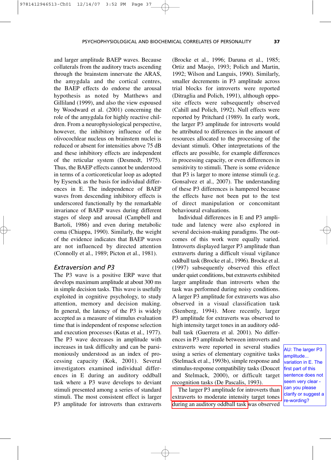and larger amplitude BAEP waves. Because collaterals from the auditory tracts ascending through the brainstem innervate the ARAS, the amygdala and the cortical centres, the BAEP effects do endorse the arousal hypothesis as noted by Matthews and Gilliland (1999), and also the view espoused by Woodward et al. (2001) concerning the role of the amygdala for highly reactive children. From a neurophysiological perspective, however, the inhibitory influence of the olivocochlear nucleus on brainstem nuclei is reduced or absent for intensities above 75 dB and these inhibitory effects are independent of the reticular system (Desmedt, 1975). Thus, the BAEP effects cannot be understood in terms of a corticoreticular loop as adopted by Eysenck as the basis for individual differences in E. The independence of BAEP waves from descending inhibitory effects is underscored functionally by the remarkable invariance of BAEP waves during different stages of sleep and arousal (Campbell and Bartoli, 1986) and even during metabolic coma (Chiappa, 1990). Similarly, the weight of the evidence indicates that BAEP waves are not influenced by directed attention (Connolly et al., 1989; Picton et al., 1981).

#### *Extraversion and P3*

9781412946513-Ch01 12/14/07 3:52 PM Page 3'

The P3 wave is a positive ERP wave that develops maximum amplitude at about 300 ms in simple decision tasks. This wave is usefully exploited in cognitive psychology, to study attention, memory and decision making. In general, the latency of the P3 is widely accepted as a measure of stimulus evaluation time that is independent of response selection and execution processes (Kutas et al., 1977). The P3 wave decreases in amplitude with increases in task difficulty and can be parsimoniously understood as an index of processing capacity (Kok, 2001). Several investigators examined individual differences in E during an auditory oddball task where a P3 wave develops to deviant stimuli presented among a series of standard stimuli. The most consistent effect is larger P3 amplitude for introverts than extraverts

(Brocke et al., 1996; Daruna et al., 1985; Ortiz and Maojo, 1993; Polich and Martin, 1992; Wilson and Languis, 1990). Similarly, smaller decrements in P3 amplitude across trial blocks for introverts were reported (Ditraglia and Polich, 1991), although opposite effects were subsequently observed (Cahill and Polich, 1992). Null effects were reported by Pritchard (1989). In early work, the larger P3 amplitude for introverts would be attributed to differences in the amount of resources allocated to the processing of the deviant stimuli. Other interpretations of the effects are possible, for example differences in processing capacity, or even differences in sensitivity to stimuli. There is some evidence that P3 is larger to more intense stimuli (e.g. Gonsalvez et al., 2007). The understanding of these P3 differences is hampered because the effects have not been put to the test of direct manipulation or concomitant behavioural evaluations.

Individual differences in E and P3 amplitude and latency were also explored in several decision-making paradigms. The outcomes of this work were equally varied. Introverts displayed larger P3 amplitude than extraverts during a difficult visual vigilance oddball task (Brocke et al., 1996). Brocke et al. (1997) subsequently observed this effect under quiet conditions, but extraverts exhibited larger amplitude than introverts when the task was performed during noisy conditions. A larger P3 amplitude for extraverts was also observed in a visual classification task (Stenberg, 1994). More recently, larger P3 amplitude for extraverts was observed to high intensity target tones in an auditory oddball task (Guerrera et al. 2001). No differences in P3 amplitude between introverts and extraverts were reported in several studies using a series of elementary cognitive tasks (Stelmack et al., 1993b), simple response and stimulus-response compatibility tasks (Doucet and Stelmack, 2000), or difficult target recognition tasks (De Pascalis, 1993).

The larger P3 amplitude for introverts than extraverts to moderate intensity target tones during an auditory oddball task was observed

AU: The larger P3 amplitude... variation in E. The first part of this sentence does not seem very clear can you please clarify or suggest a re-wording?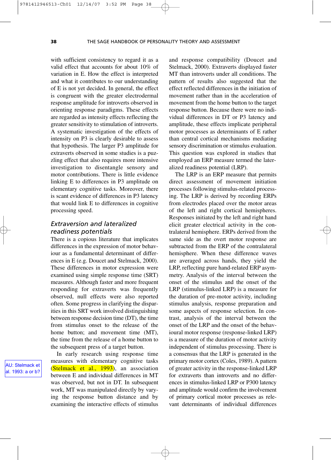with sufficient consistency to regard it as a valid effect that accounts for about 10% of variation in E. How the effect is interpreted and what it contributes to our understanding of E is not yet decided. In general, the effect is congruent with the greater electrodermal response amplitude for introverts observed in orienting response paradigms. These effects are regarded as intensity effects reflecting the greater sensitivity to stimulation of introverts. A systematic investigation of the effects of intensity on P3 is clearly desirable to assess that hypothesis. The larger P3 amplitude for extraverts observed in some studies is a puzzling effect that also requires more intensive investigation to disentangle sensory and motor contributions. There is little evidence linking E to differences in P3 amplitude on elementary cognitive tasks. Moreover, there is scant evidence of differences in P3 latency that would link E to differences in cognitive processing speed.

# *Extraversion and lateralized readiness potentials*

There is a copious literature that implicates differences in the expression of motor behaviour as a fundamental determinant of differences in E (e.g. Doucet and Stelmack, 2000). These differences in motor expression were examined using simple response time (SRT) measures. Although faster and more frequent responding for extraverts was frequently observed, null effects were also reported often. Some progress in clarifying the disparities in this SRT work involved distinguishing between response decision time (DT), the time from stimulus onset to the release of the home button; and movement time (MT), the time from the release of a home button to the subsequent press of a target button.

In early research using response time measures with elementary cognitive tasks (Stelmack et al., 1993), an association between E and individual differences in MT was observed, but not in DT. In subsequent work, MT was manipulated directly by varying the response button distance and by examining the interactive effects of stimulus and response compatibility (Doucet and Stelmack, 2000). Extraverts displayed faster MT than introverts under all conditions. The pattern of results also suggested that the effect reflected differences in the initiation of movement rather than in the acceleration of movement from the home button to the target response button. Because there were no individual differences in DT or P3 latency and amplitude, these effects implicate peripheral motor processes as determinants of E rather than central cortical mechanisms mediating sensory discrimination or stimulus evaluation. This question was explored in studies that employed an ERP measure termed the lateralized readiness potential (LRP).

The LRP is an ERP measure that permits direct assessment of movement initiation processes following stimulus-related processing. The LRP is derived by recording ERPs from electrodes placed over the motor areas of the left and right cortical hemispheres. Responses initiated by the left and right hand elicit greater electrical activity in the contralateral hemisphere. ERPs derived from the same side as the overt motor response are subtracted from the ERP of the contralateral hemisphere. When these difference waves are averaged across hands, they yield the LRP, reflecting pure hand-related ERP asymmetry. Analysis of the interval between the onset of the stimulus and the onset of the LRP (stimulus-linked LRP) is a measure for the duration of pre-motor activity, including stimulus analysis, response preparation and some aspects of response selection. In contrast, analysis of the interval between the onset of the LRP and the onset of the behavioural motor response (response-linked LRP) is a measure of the duration of motor activity independent of stimulus processing. There is a consensus that the LRP is generated in the primary motor cortex (Coles, 1989). A pattern of greater activity in the response-linked LRP for extraverts than introverts and no differences in stimulus-linked LRP or P300 latency and amplitude would confirm the involvement of primary cortical motor processes as relevant determinants of individual differences

AU: Stelmack et al. 1993: a or b?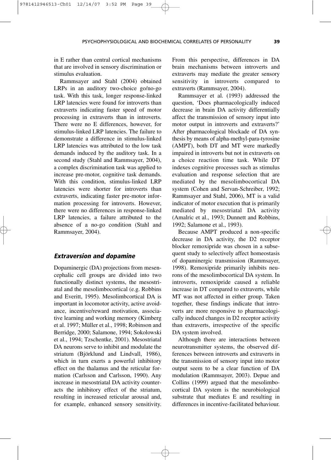in E rather than central cortical mechanisms that are involved in sensory discrimination or stimulus evaluation.

Rammsayer and Stahl (2004) obtained LRPs in an auditory two-choice go/no-go task. With this task, longer response-linked LRP latencies were found for introverts than extraverts indicating faster speed of motor processing in extraverts than in introverts. There were no E differences, however, for stimulus-linked LRP latencies. The failure to demonstrate a difference in stimulus-linked LRP latencies was attributed to the low task demands induced by the auditory task. In a second study (Stahl and Rammsayer, 2004), a complex discrimination task was applied to increase pre-motor, cognitive task demands. With this condition, stimulus-linked LRP latencies were shorter for introverts than extraverts, indicating faster pre-motor information processing for introverts. However, there were no differences in response-linked LRP latencies, a failure attributed to the absence of a no-go condition (Stahl and Rammsayer, 2004).

#### **Extraversion and dopamine**

Dopaminergic (DA) projections from mesencephalic cell groups are divided into two functionally distinct systems, the mesostriatal and the mesolimbocortical (e.g. Robbins and Everitt, 1995). Mesolimbcortical DA is important in locomotor activity, active avoidance, incentive/reward motivation, associative learning and working memory (Kimberg et al. 1997; Müller et al., 1998; Robinson and Berridge, 2000; Salamone, 1994; Sokolowski et al., 1994; Tzschentke, 2001). Mesostriatal DA neurons serve to inhibit and modulate the striatum (Björklund and Lindvall, 1986), which in turn exerts a powerful inhibitory effect on the thalamus and the reticular formation (Carlsson and Carlsson, 1990). Any increase in mesostriatal DA activity counteracts the inhibitory effect of the striatum, resulting in increased reticular arousal and, for example, enhanced sensory sensitivity. From this perspective, differences in DA brain mechanisms between introverts and extraverts may mediate the greater sensory sensitivity in introverts compared to extraverts (Rammsayer, 2004).

Rammsayer et al. (1993) addressed the question, 'Does pharmacologically induced decrease in brain DA activity differentially affect the transmission of sensory input into motor output in introverts and extraverts?' After pharmacological blockade of DA synthesis by means of alpha-methyl-para-tyrosine (AMPT), both DT and MT were markedly impaired in introverts but not in extraverts on a choice reaction time task. While DT indexes cognitive processes such as stimulus evaluation and response selection that are mediated by the mesolimbocortical DA system (Cohen and Servan-Schreiber, 1992; Rammsayer and Stahl, 2006), MT is a valid indicator of motor execution that is primarily mediated by mesostriatal DA activity (Amalric et al., 1993; Dunnett and Robbins, 1992; Salamone et al., 1993).

Because AMPT produced a non-specific decrease in DA activity, the D2 receptor blocker remoxipride was chosen in a subsequent study to selectively affect homeostasis of dopaminergic transmission (Rammsayer, 1998). Remoxipride primarily inhibits neurons of the mesolimbocortical DA system. In introverts, remoxipride caused a reliable increase in DT compared to extraverts, while MT was not affected in either group. Taken together, these findings indicate that introverts are more responsive to pharmacologically induced changes in D2 receptor activity than extraverts, irrespective of the specific DA system involved.

Although there are interactions between neurotransmitter systems, the observed differences between introverts and extraverts in the transmission of sensory input into motor output seem to be a clear function of DA modulation (Rammsayer, 2003). Depue and Collins (1999) argued that the mesolimbocortical DA system is the neurobiological substrate that mediates E and resulting in differences in incentive-facilitated behaviour.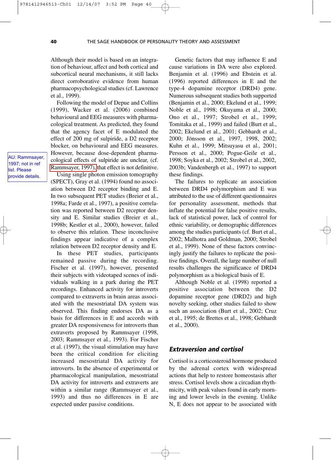Although their model is based on an integration of behaviour, affect and both cortical and subcortical neural mechanisms, it still lacks direct corroborative evidence from human pharmacopsychological studies (cf. Lawrence et al., 1999).

Following the model of Depue and Collins (1999), Wacker et al. (2006) combined behavioural and EEG measures with pharmacological treatment. As predicted, they found that the agency facet of E modulated the effect of 200 mg of sulpiride, a D2 receptor blocker, on behavioural and EEG measures. However, because dose-dependent pharmacological effects of sulpiride are unclear, (cf. Rammsayer, 1997), that effect is not definitive. Using single photon emission tomography (SPECT), Gray et al. (1994) found no association between D2 receptor binding and E. In two subsequent PET studies (Breier et al., 1998a; Farde et al., 1997), a positive correlation was reported between D2 receptor density and E. Similar studies (Breier et al., 1998b; Kestler et al., 2000), however, failed to observe this relation. These inconclusive findings appear indicative of a complex relation between D2 receptor density and E.

In these PET studies, participants remained passive during the recording. Fischer et al. (1997), however, presented their subjects with videotaped scenes of individuals walking in a park during the PET recordings. Enhanced activity for introverts compared to extraverts in brain areas associated with the mesostriatal DA system was observed. This finding endorses DA as a basis for differences in E and accords with greater DA responsiveness for introverts than extraverts proposed by Rammsayer (1998, 2003; Rammsayer et al., 1993). For Fischer et al. (1997), the visual stimulation may have been the critical condition for eliciting increased mesostriatal DA activity for introverts. In the absence of experimental or pharmacological manipulation, mesostriatal DA activity for introverts and extraverts are within a similar range (Rammsayer et al., 1993) and thus no differences in E are expected under passive conditions.

Genetic factors that may influence E and cause variations in DA were also explored. Benjamin et al. (1996) and Ebstein et al. (1996) reported differences in E and the type-4 dopamine receptor (DRD4) gene. Numerous subsequent studies both supported (Benjamin et al., 2000; Ekelund et al., 1999; Noble et al., 1998; Okuyama et al., 2000; Ono et al., 1997; Strobel et al., 1999; Tomitaka et al., 1999) and failed (Burt et al., 2002; Ekelund et al., 2001; Gebhardt et al., 2000; Jönsson et al., 1997, 1998, 2002; Kuhn et al., 1999; Mitsuyasu et al., 2001; Persson et al., 2000; Pogue-Geile et al., 1998; Soyka et al., 2002; Strobel et al., 2002, 2003b; Vandenbergh et al., 1997) to support these findings.

The failures to replicate an association between DRD4 polymorphism and E was attributed to the use of different questionnaires for personality assessment, methods that inflate the potential for false positive results, lack of statistical power, lack of control for ethnic variability, or demographic differences among the studies participants (cf. Burt et al., 2002; Malhotra and Goldman, 2000; Strobel et al., 1999). None of these factors convincingly justify the failures to replicate the positive findings. Overall, the large number of null results challenges the significance of DRD4 polymorphism as a biological basis of E.

Although Noble et al. (1998) reported a positive association between the D2 dopamine receptor gene (DRD2) and high novelty seeking, other studies failed to show such an association (Burt et al., 2002; Cruz et al., 1995; de Brettes et al., 1998; Gebhardt et al., 2000).

#### **Extraversion and cortisol**

Cortisol is a corticosteroid hormone produced by the adrenal cortex with widespread actions that help to restore homeostasis after stress. Cortisol levels show a circadian rhythmicity, with peak values found in early morning and lower levels in the evening. Unlike N, E does not appear to be associated with

AU: Rammsayer, 1997; not in ref list. Please provide details.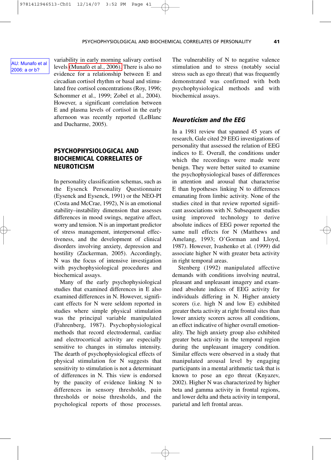PSYCHOPHYSIOLOGICAL AND BIOCHEMICAL CORRELATES OF PERSONALITY **41**

AU: Munafo et al 2006: a or b?

variability in early morning salivary cortisol levels (Munafò et al., 2006). There is also no evidence for a relationship between E and circadian cortisol rhythm or basal and stimulated free cortisol concentrations (Roy, 1996; Schommer et al., 1999; Zobel et al., 2004). However, a significant correlation between E and plasma levels of cortisol in the early afternoon was recently reported (LeBlanc and Ducharme, 2005).

# **PSYCHOPHYSIOLOGICAL AND BIOCHEMICAL CORRELATES OF NEUROTICISM**

In personality classification schemas, such as the Eysenck Personality Questionnaire (Eysenck and Eysenck, 1991) or the NEO-PI (Costa and McCrae, 1992), N is an emotional stability–instability dimension that assesses differences in mood swings, negative affect, worry and tension. N is an important predictor of stress management, interpersonal effectiveness, and the development of clinical disorders involving anxiety, depression and hostility (Zuckerman, 2005). Accordingly, N was the focus of intensive investigation with psychophysiological procedures and biochemical assays.

Many of the early psychophysiological studies that examined differences in E also examined differences in N. However, significant effects for N were seldom reported in studies where simple physical stimulation was the principal variable manipulated (Fahrenberg, 1987). Psychophysiological methods that record electrodermal, cardiac and electrocortical activity are especially sensitive to changes in stimulus intensity. The dearth of psychophysiological effects of physical stimulation for N suggests that sensitivity to stimulation is not a determinant of differences in N. This view is endorsed by the paucity of evidence linking N to differences in sensory thresholds, pain thresholds or noise thresholds, and the psychological reports of those processes.

The vulnerability of N to negative valence stimulation and to stress (notably social stress such as ego threat) that was frequently demonstrated was confirmed with both psychophysiological methods and with biochemical assays.

#### **Neuroticism and the EEG**

In a 1981 review that spanned 45 years of research, Gale cited 29 EEG investigations of personality that assessed the relation of EEG indices to E. Overall, the conditions under which the recordings were made were benign. They were better suited to examine the psychophysiological bases of differences in attention and arousal that characterise E than hypotheses linking N to differences emanating from limbic activity. None of the studies cited in that review reported significant associations with N. Subsequent studies using improved technology to derive absolute indices of EEG power reported the same null effects for N (Matthews and Amelang, 1993; O'Gorman and Lloyd, 1987). However, Ivashenko et al. (1999) did associate higher N with greater beta activity in right temporal areas.

Stenberg (1992) manipulated affective demands with conditions involving neutral, pleasant and unpleasant imagery and examined absolute indices of EEG activity for individuals differing in N. Higher anxiety scorers (i.e. high N and low E) exhibited greater theta activity at right frontal sites than lower anxiety scorers across all conditions, an effect indicative of higher overall emotionality. The high anxiety group also exhibited greater beta activity in the temporal region during the unpleasant imagery condition. Similar effects were observed in a study that manipulated arousal level by engaging participants in a mental arithmetic task that is known to pose an ego threat (Knyazev, 2002). Higher N was characterized by higher beta and gamma activity in frontal regions, and lower delta and theta activity in temporal, parietal and left frontal areas.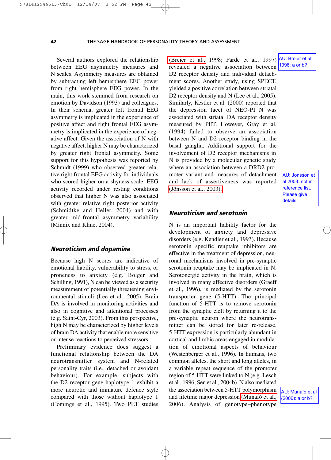Several authors explored the relationship between EEG asymmetry measures and N scales. Asymmetry measures are obtained by subtracting left hemisphere EEG power from right hemisphere EEG power. In the main, this work stemmed from research on emotion by Davidson (1993) and colleagues. In their schema, greater left frontal EEG asymmetry is implicated in the experience of positive affect and right frontal EEG asymmetry is implicated in the experience of negative affect. Given the association of N with negative affect, higher N may be characterized by greater right frontal asymmetry. Some support for this hypothesis was reported by Schmidt (1999) who observed greater relative right frontal EEG activity for individuals who scored higher on a shyness scale. EEG activity recorded under resting conditions observed that higher N was also associated with greater relative right posterior activity (Schmidtke and Heller, 2004) and with greater mid-frontal asymmetry variability (Minnix and Kline, 2004).

# **Neuroticism and dopamine**

Because high N scores are indicative of emotional liability, vulnerability to stress, or proneness to anxiety (e.g. Bolger and Schilling, 1991), N can be viewed as a security measurement of potentially threatening environmental stimuli (Lee et al., 2005). Brain DA is involved in monitoring activities and also in cognitive and attentional processes (e.g. Saint-Cyr, 2003). From this perspective, high N may be characterized by higher levels of brain DA activity that enable more sensitive or intense reactions to perceived stressors.

Preliminary evidence does suggest a functional relationship between the DA neurotransmitter system and N-related personality traits (i.e., detached or avoidant behaviour). For example, subjects with the D2 receptor gene haplotype 1 exhibit a more neurotic and immature defence style compared with those without haplotype 1 (Comings et al., 1995). Two PET studies

(Breier et al., 1998; Farde et al., 1997) revealed a negative association between D2 receptor density and individual detachment scores. Another study, using SPECT, yielded a positive correlation between striatal D<sub>2</sub> receptor density and N (Lee et al., 2005). Similarly, Kestler et al. (2000) reported that the depression facet of NEO-PI N was associated with striatal DA receptor density measured by PET. However, Gray et al. (1994) failed to observe an association between N and D2 receptor binding in the basal ganglia. Additional support for the involvement of D2 receptor mechanisms in N is provided by a molecular genetic study where an association between a DRD2 promoter variant and measures of detachment and lack of assertiveness was reported (Jönsson et al., 2003).

# **Neuroticism and serotonin**

N is an important liability factor for the development of anxiety and depressive disorders (e.g. Kendler et al., 1993). Because serotonin specific reuptake inhibitors are effective in the treatment of depression, neuronal mechanisms involved in pre-synaptic serotonin reuptake may be implicated in N. Serotonergic activity in the brain, which is involved in many affective disorders (Graeff et al., 1996), is mediated by the serotonin transporter gene (5-HTT). The principal function of 5-HTT is to remove serotonin from the synaptic cleft by returning it to the pre-synaptic neuron where the neurotransmitter can be stored for later re-release. 5-HTT expression is particularly abundant in cortical and limbic areas engaged in modulation of emotional aspects of behaviour (Westenberger et al., 1996). In humans, two common alleles, the short and long alleles, in a variable repeat sequence of the promoter region of 5-HTT were linked to N (e.g. Lesch et al., 1996; Sen et al., 2004b). N also mediated the association between 5-HTT polymorphism and lifetime major depression (Munafò et al., 2006). Analysis of genotype–phenotype

AU: Breier et al 1998: a or b?

> AU: Jonsson et al 2003: not in reference list. Please give details.

AU: Munafo et al (2006): a or b?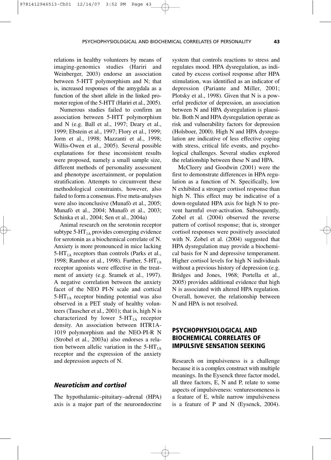relations in healthy volunteers by means of imaging-genomics studies (Hariri and Weinberger, 2003) endorse an association between 5-HTT polymorphism and N; that is, increased responses of the amygdala as a function of the short allele in the linked promoter region of the 5-HTT (Hariri et al., 2005).

9781412946513-Ch01

Numerous studies failed to confirm an association between 5-HTT polymorphism and N (e.g. Ball et al., 1997; Deary et al., 1999; Ebstein et al., 1997; Flory et al., 1999; Jorm et al., 1998; Mazzanti et al., 1998; Willis-Owen et al., 2005). Several possible explanations for these inconsistent results were proposed, namely a small sample size, different methods of personality assessment and phenotype ascertainment, or population stratification. Attempts to circumvent these methodological constraints, however, also failed to form a consensus. Five meta-analyses were also inconclusive (Munafò et al., 2005; Munafò et al., 2004; Munafò et al., 2003; Schinka et al., 2004; Sen et al., 2004a)

Animal research on the serotonin receptor subtype  $5-HT<sub>1A</sub>$  provides converging evidence for serotonin as a biochemical correlate of N. Anxiety is more pronounced in mice lacking  $5-HT<sub>1A</sub>$  receptors than controls (Parks et al., 1998; Ramboz et al., 1998). Further,  $5-HT<sub>1A</sub>$ receptor agonists were effective in the treatment of anxiety (e.g. Sramek et al., 1997). A negative correlation between the anxiety facet of the NEO PI-N scale and cortical  $5-HT<sub>1A</sub>$  receptor binding potential was also observed in a PET study of healthy volunteers (Tauscher et al., 2001); that is, high N is characterized by lower  $5-HT<sub>1A</sub>$  receptor density. An association between HTR1A-1019 polymorphism and the NEO-PI-R N (Strobel et al., 2003a) also endorses a relation between allelic variation in the  $5-HT<sub>1A</sub>$ receptor and the expression of the anxiety and depression aspects of N.

### **Neuroticism and cortisol**

The hypothalamic–pituitary–adrenal (HPA) axis is a major part of the neuroendocrine system that controls reactions to stress and regulates mood. HPA dysregulation, as indicated by excess cortisol response after HPA stimulation, was identified as an indicator of depression (Pariante and Miller, 2001; Plotsky et al., 1998). Given that N is a powerful predictor of depression, an association between N and HPA dysregulation is plausible. Both N and HPA dysregulation operate as risk and vulnerability factors for depression (Holsboer, 2000). High N and HPA dysregulation are indicative of less effective coping with stress, critical life events, and psychological challenges. Several studies explored the relationship between these N and HPA.

McCleery and Goodwin (2001) were the first to demonstrate differences in HPA regulation as a function of N. Specifically, low N exhibited a stronger cortisol response than high N. This effect may be indicative of a down-regulated HPA axis for high N to prevent harmful over-activation. Subsequently, Zobel et al. (2004) observed the reverse pattern of cortisol response; that is, stronger cortisol responses were positively associated with N. Zobel et al. (2004) suggested that HPA dysregulation may provide a biochemical basis for N and depressive temperament. Higher cortisol levels for high N individuals without a previous history of depression (e.g. Bridges and Jones, 1968; Portella et al., 2005) provides additional evidence that high N is associated with altered HPA regulation. Overall, however, the relationship between N and HPA is not resolved.

# **PSYCHOPHYSIOLOGICAL AND BIOCHEMICAL CORRELATES OF IMPULSIVE SENSATION SEEKING**

Research on impulsiveness is a challenge because it is a complex construct with multiple meanings. In the Eysenck three factor model, all three factors, E, N and P, relate to some aspects of impulsiveness: venturesomeness is a feature of E, while narrow impulsiveness is a feature of P and N (Eysenck, 2004).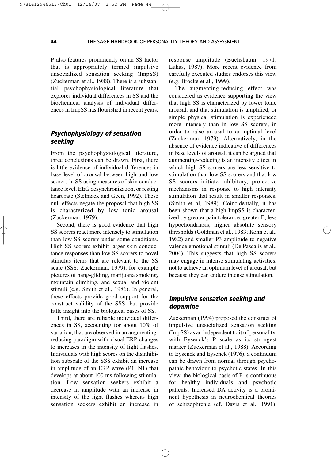P also features prominently on an SS factor that is appropriately termed impulsive unsocialized sensation seeking (ImpSS) (Zuckerman et al., 1988). There is a substantial psychophysiological literature that explores individual differences in SS and the biochemical analysis of individual differences in ImpSS has flourished in recent years.

# **Psychophysiology of sensation seeking**

From the psychophysiological literature, three conclusions can be drawn. First, there is little evidence of individual differences in base level of arousal between high and low scorers in SS using measures of skin conductance level, EEG desynchronization, or resting heart rate (Stelmack and Geen, 1992). These null effects negate the proposal that high SS is characterized by low tonic arousal (Zuckerman, 1979).

Second, there is good evidence that high SS scorers react more intensely to stimulation than low SS scorers under some conditions. High SS scorers exhibit larger skin conductance responses than low SS scorers to novel stimulus items that are relevant to the SS scale (SSS; Zuckerman, 1979), for example pictures of hang-gliding, marijuana smoking, mountain climbing, and sexual and violent stimuli (e.g. Smith et al., 1986). In general, these effects provide good support for the construct validity of the SSS, but provide little insight into the biological bases of SS.

Third, there are reliable individual differences in SS, accounting for about 10% of variation, that are observed in an augmentingreducing paradigm with visual ERP changes to increases in the intensity of light flashes. Individuals with high scores on the disinhibition subscale of the SSS exhibit an increase in amplitude of an ERP wave (P1, N1) that develops at about 100 ms following stimulation. Low sensation seekers exhibit a decrease in amplitude with an increase in intensity of the light flashes whereas high sensation seekers exhibit an increase in response amplitude (Buchsbaum, 1971; Lukas, 1987). More recent evidence from carefully executed studies endorses this view (e.g. Brocke et al., 1999).

The augmenting-reducing effect was considered as evidence supporting the view that high SS is characterized by lower tonic arousal, and that stimulation is amplified, or simple physical stimulation is experienced more intensely than in low SS scorers, in order to raise arousal to an optimal level (Zuckerman, 1979). Alternatively, in the absence of evidence indicative of differences in base levels of arousal, it can be argued that augmenting-reducing is an intensity effect in which high SS scorers are less sensitive to stimulation than low SS scorers and that low SS scorers initiate inhibitory, protective mechanisms in response to high intensity stimulation that result in smaller responses, (Smith et al, 1989). Coincidentally, it has been shown that a high ImpSS is characterized by greater pain tolerance, greater E, less hypochondriasis, higher absolute sensory thresholds (Goldman et al., 1983; Kohn et al., 1982) and smaller P3 amplitude to negative valence emotional stimuli (De Pascalis et al., 2004). This suggests that high SS scorers may engage in intense stimulating activities, not to achieve an optimum level of arousal, but because they can endure intense stimulation.

## **Impulsive sensation seeking and dopamine**

Zuckerman (1994) proposed the construct of impulsive unsocialized sensation seeking (ImpSS) as an independent trait of personality, with Eysenck's P scale as its strongest marker (Zuckerman et al., 1988). According to Eysenck and Eysenck (1976), a continuum can be drawn from normal through psychopathic behaviour to psychotic states. In this view, the biological basis of P is continuous for healthy individuals and psychotic patients. Increased DA activity is a prominent hypothesis in neurochemical theories of schizophrenia (cf. Davis et al., 1991).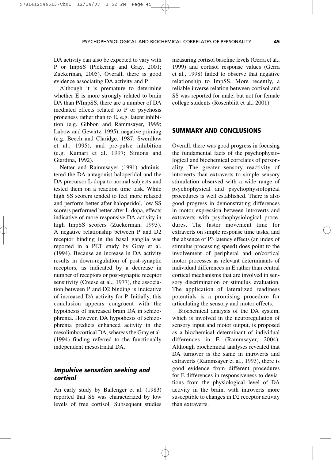DA activity can also be expected to vary with P or ImpSS (Pickering and Gray, 2001; Zuckerman, 2005). Overall, there is good evidence associating DA activity and P

9781412946513-Ch01 12

Although it is premature to determine whether E is more strongly related to brain DA than P/ImpSS, there are a number of DA mediated effects related to P or psychosis proneness rather than to E, e.g. latent inhibition (e.g. Gibbon and Rammsayer, 1999; Lubow and Gewirtz, 1995), negative priming (e.g. Beech and Claridge, 1987; Swerdlow et al., 1995), and pre-pulse inhibition (e.g. Kumari et al. 1997; Simons and Giardina, 1992).

Netter and Rammsayer (1991) administered the DA antagonist haloperidol and the DA precursor L-dopa to normal subjects and tested them on a reaction time task. While high SS scorers tended to feel more relaxed and perform better after haloperidol, low SS scorers performed better after L-dopa, effects indicative of more responsive DA activity in high ImpSS scorers (Zuckerman, 1993). A negative relationship between P and D2 receptor binding in the basal ganglia was reported in a PET study by Gray et al. (1994). Because an increase in DA activity results in down-regulation of post-synaptic receptors, as indicated by a decrease in number of receptors or post-synaptic receptor sensitivity (Creese et al., 1977), the association between P and D2 binding is indicative of increased DA activity for P. Initially, this conclusion appears congruent with the hypothesis of increased brain DA in schizophrenia. However, DA hypothesis of schizophrenia predicts enhanced activity in the mesolimbocortical DA, whereas the Gray et al. (1994) finding referred to the functionally independent mesostriatal DA.

# **Impulsive sensation seeking and cortisol**

An early study by Ballenger et al. (1983) reported that SS was characterized by low levels of free cortisol. Subsequent studies

measuring cortisol baseline levels (Gerra et al., 1999) and cortisol response values (Gerra et al., 1998) failed to observe that negative relationship to ImpSS. More recently, a reliable inverse relation between cortisol and SS was reported for male, but not for female college students (Rosenblitt et al., 2001).

#### **SUMMARY AND CONCLUSIONS**

Overall, there was good progress in focusing the fundamental facts of the psychophysiological and biochemical correlates of personality. The greater sensory reactivity of introverts than extraverts to simple sensory stimulation observed with a wide range of psychophysical and psychophysiological procedures is well established. There is also good progress in demonstrating differences in motor expression between introverts and extraverts with psychophysiological procedures. The faster movement time for extraverts on simple response time tasks, and the absence of P3 latency effects (an index of stimulus processing speed) does point to the involvement of peripheral and or/cortical motor processes as relevant determinants of individual differences in E rather than central cortical mechanisms that are involved in sensory discrimination or stimulus evaluation. The application of lateralized readiness potentials is a promising procedure for articulating the sensory and motor effects.

Biochemical analysis of the DA system, which is involved in the neuroregulation of sensory input and motor output, is proposed as a biochemical determinant of individual differences in E (Rammsayer, 2004). Although biochemical analyses revealed that DA turnover is the same in introverts and extraverts (Rammsayer et al., 1993), there is good evidence from different procedures for E differences in responsiveness to deviations from the physiological level of DA activity in the brain, with introverts more susceptible to changes in D2 receptor activity than extraverts.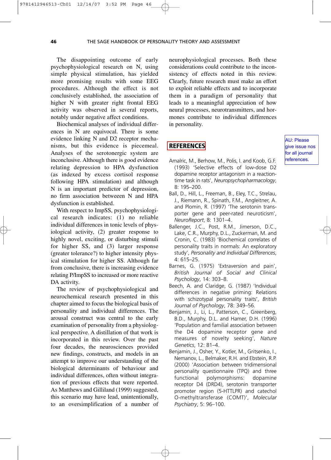The disappointing outcome of early psychophysiological research on N, using simple physical stimulation, has yielded more promising results with some EEG procedures. Although the effect is not conclusively established, the association of higher N with greater right frontal EEG activity was observed in several reports, notably under negative affect conditions.

Biochemical analyses of individual differences in N are equivocal. There is some evidence linking N and D2 receptor mechanisms, but this evidence is piecemeal. Analyses of the serotonergic system are inconclusive. Although there is good evidence relating depression to HPA dysfunction (as indexed by excess cortisol response following HPA stimulation) and although N is an important predictor of depression, no firm association betweeen N and HPA dysfunction is established.

With respect to ImpSS, psychophysiological research indicates: (1) no reliable individual differences in tonic levels of physiological activity, (2) greater response to highly novel, exciting, or disturbing stimuli for higher SS, and (3) larger response (greater tolerance?) to higher intensity physical stimulation for higher SS. Although far from conclusive, there is increasing evidence relating P/ImpSS to increased or more reactive DA activity.

The review of psychophysiological and neurochemical research presented in this chapter aimed to focus the biological basis of personality and individual differences. The arousal construct was central to the early examination of personality from a physiological perspective. A distillation of that work is incorporated in this review. Over the past four decades, the neurosciences provided new findings, constructs, and models in an attempt to improve our understanding of the biological determinants of behaviour and individual differences, often without integration of previous effects that were reported. As Matthews and Gilliland (1999) suggested, this scenario may have lead, unintentionally, to an oversimplification of a number of

neurophysiological processes. Both these considerations could contribute to the inconsistency of effects noted in this review. Clearly, future research must make an effort to exploit reliable effects and to incorporate them in a paradigm of personality that leads to a meaningful appreciation of how neural processes, neurotransmitters, and hormones contribute to individual differences in personality.

## **REFERENCES**

- Amalric, M., Berhow, M., Polis, I. and Koob, G.F. (1993) 'Selective effects of low-dose D2 dopamine receptor antagonism in a reactiontime task in rats', *Neuropsychopharmacology*, 8: 195–200.
- Ball, D., Hill, L., Freeman, B., Eley, T.C., Strelau, J., Riemann, R., Spinath, F.M., Angleitner, A. and Plomin, R. (1997) 'The serotonin transporter gene and peer-rated neuroticism', *NeuroReport*, 8: 1301–4.
- Ballenger, J.C., Post, R.M., Jimerson, D.C., Lake, C.R., Murphy, D.L., Zuckerman, M. and Cronin, C. (1983) 'Biochemical correlates of personality traits in normals: An exploratory study', *Personality and Individual Differences*, 4: 615–25.
- Barnes, G. (1975) 'Extraversion and pain', *British Journal of Social and Clinical Psychology*, 14: 303–8.
- Beech, A. and Claridge, G. (1987) 'Individual differences in negative priming: Relations with schizotypal personality traits', *British Journal of Psychology*, 78: 349–56.
- Benjamin, J., Li, L., Patterson, C., Greenberg, B.D., Murphy, D.L. and Hamer, D.H. (1996) 'Population and familial association between the D4 dopamine receptor gene and measures of novelty seeking', *Nature Genetics*, 12: 81–4.
- Benjamin, J., Osher, Y., Kotler, M., Gritsenko, I., Nemanov, L., Belmaker, R.H. and Ebstein, R.P. (2000) 'Association between tridimensional personality questionnaire (TPQ) and three functional polymorphisms: dopamine receptor D4 (DRD4), serotonin transporter promoter region (5-HTTLPR) and catechol O-methyltransferase (COMT)', *Molecular Psychiatry*, 5: 96–100.

AU: Please give issue nos for all journal references.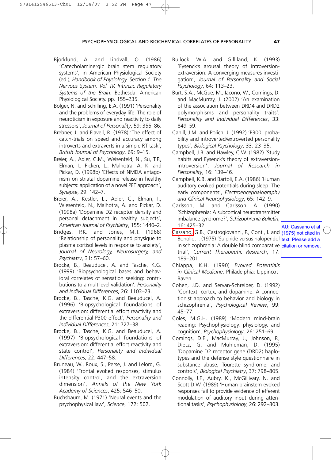#### PSYCHOPHYSIOLOGICAL AND BIOCHEMICAL CORRELATES OF PERSONALITY **47**

- Björklund, A. and Lindvall, O. (1986) 'Catecholaminergic brain stem regulatory systems', in American Physiological Society (ed.), *Handbook of Physiology. Section 1. The Nervous System. Vol. IV. Intrinsic Regulatory Systems of the Brain*. Bethesda: American Physiological Society. pp. 155–235.
- Bolger, N. and Schilling, E.A. (1991) 'Personality and the problems of everyday life: The role of neuroticism in exposure and reactivity to daily stressors', *Journal of Personality*, 59: 355–86.
- Brebner, J. and Flavell, R. (1978) 'The effect of catch-trials on speed and accuracy among introverts and extraverts in a simple RT task', *British Journal of Psychology*, 69: 9–15.
- Breier, A., Adler, C.M., Weisenfeld, N., Su, T.P., Elman, I., Picken, L., Malhotra, A. K. and Pickar, D. (1998b) 'Effects of NMDA antagonism on striatal dopamine release in healthy subjects: application of a novel PET approach', *Synapse*, 29: 142–7.
- Breier, A., Kestler, L., Adler, C., Elman, I., Wiesenfeld, N., Malhotra, A. and Pickar, D. (1998a) 'Dopamine D2 receptor density and personal detachment in healthy subjects', *American Journal of Psychiatry*, 155: 1440–2.
- Bridges, P.K. and Jones, M.T. (1968) 'Relationship of personality and physique to plasma cortisol levels in response to anxiety', *Journal of Neurology, Neurosurgery, and Psychiatry*, 31: 57–60.
- Brocke, B., Beauducel, A. and Tasche, K.G. (1999) 'Biopsychological bases and behavioral correlates of sensation seeking: contributions to a multilevel validation', *Personality and Individual Differences*, 26: 1103–23.
- Brocke, B., Tasche, K.G. and Beauducel, A. (1996) 'Biopsychological foundations of extraversion: differential effort reactivity and the differential P300 effect', *Personality and Individual Differences*, 21: 727–38.
- Brocke, B., Tasche, K.G. and Beauducel, A. (1997) 'Biopsychological foundations of extraversion: differential effort reactivity and state control', *Personality and Individual Differences*, 22: 447–58.
- Bruneau, W., Roux, S., Perse, J. and Lelord, G. (1984) 'Frontal evoked responses, stimulus intensity control, and the extraversion dimension', *Annals of the New York Academy of Sciences*, 425: 546–50.
- Buchsbaum, M. (1971) 'Neural events and the psychophysical law', *Science*, 172: 502.
- Bullock, W.A. and Gilliland, K. (1993) 'Eysenck's arousal theory of introversionextraversion: A converging measures investigation', *Journal of Personality and Social Psychology*, 64: 113–23.
- Burt, S.A., McGue, M., Iacono, W., Comings, D. and MacMurray, J. (2002) 'An examination of the association between DRD4 and DRD2 polymorphisms and personality traits', *Personality and Individual Differences*, 33: 849–59.
- Cahill, J.M. and Polich, J. (1992) 'P300, probability and introverted/extroverted personality types', *Biological Psychology*, 33: 23–35.
- Campbell, J.B. and Hawley, C.W. (1982) 'Study habits and Eysenck's theory of extraversionintroversion', *Journal of Research in Personality*, 16: 139–46.
- Campbell, K.B. and Bartoli, E.A. (1986) 'Human auditory evoked potentials during sleep: The early components', *Electroencephalography and Clinical Neurophysiology*, 65: 142–9.
- Carlsson, M. and Carlsson, A. (1990) 'Schizophrenia: A subcortical neurotransmitter imbalance syndrome?', *Schizophrenia Bulletin*, 16: 425–32.
- Cassano, G.B., Castrogiovanni, P., Conti, I. and Bonollo, I. (1975) 'Sulpiride versus haloperidol <mark>text. Please add a</mark> in schizophrenia: A double blind comparative citation or remove. trial', *Current Therapeutic Research*, 17: 189–201.
- Chiappa, K.H. (1990) *Evoked Potentials in Clinical Medicine*. Philadelphia: Lippincot-Raven.
- Cohen, J.D. and Servan-Schreiber, D. (1992) 'Context, cortex, and dopamine: A connectionist approach to behavior and biology in schizophrenia', *Psychological Review*, 99: 45–77.
- Coles, M.G.H. (1989) 'Modern mind-brain reading: Psychophysiology, physiology, and cognition', *Psychophysiology*, 26: 251–69.
- Comings, D.E., MacMurray, J., Johnson, P., Dietz, G. and Muhleman, D. (1995) 'Dopamine D2 receptor gene (DRD2) haplotypes and the defense style questionnaire in substance abuse, Tourette syndrome, and controls', *Biological Psychiatry*, 37: 798–805.
- Connolly, J.F., Aubry, K., McGillivary, N. and Scott D.W. (1989) 'Human brainstem evoked responses fail to provide evidence of efferent modulation of auditory input during attentional tasks', *Psychophysiology*, 26: 292–303.

AU: Cassano et al (1975) not cited in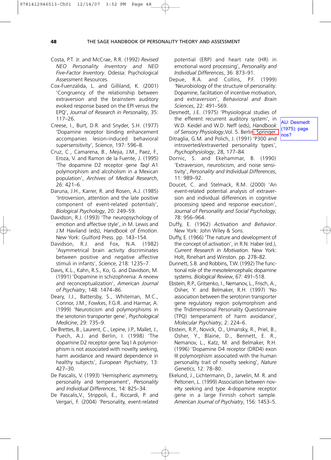- Costa, P.T. Jr. and McCrae, R.R. (1992) *Revised NEO Personality Inventory and NEO Five-Factor Inventory*. Odessa: Psychological Assessment Resources.
- Cox-Fuenzalida, L. and Gilliland, K. (2001) 'Congruency of the relationship between extraversion and the brainstem auditory evoked response based on the EPI versus the EPQ', *Journal of Research in Personality*, 35: 117–26.
- Creese, I., Burt, D.R. and Snyder, S.H. (1977) 'Dopamine receptor binding enhancement accompanies lesion-induced behavioral supersensitivity', *Science*, 197: 596–8.
- Cruz, C., Camarena, B., Mejia, J.M., Paez, F., Eroza, V. and Ramon de la Fuente, J. (1995) 'The dopamine D2 receptor gene *TaqI* A1 polymorphism and alcoholism in a Mexican population', *Archives of Medical Research*, 26: 421–6.
- Daruna, J.H., Karrer, R. and Rosen, A.J. (1985) 'Introversion, attention and the late positive component of event-related potentials', *Biological Psychology*, 20: 249–59.
- Davidson, R.J. (1993) 'The neuropsychology of emotion and affective style', in M. Lewis and J.M Haviland (eds), *Handbook of Emotion*. New York: Guilford Press. pp. 143–154.
- Davidson, R.J. and Fox, N.A. (1982) 'Asymmetrical brain activity discriminates between positive and negative affective stimuli in infants', *Science*, 218: 1235–7.
- Davis, K.L., Kahn, R.S., Ko, G. and Davidson, M. (1991) 'Dopamine in schizophrenia: A review and reconceptualization', *American Journal of Psychiatry*, 148: 1474–86.
- Deary, I.J., Battersby, S., Whiteman, M.C., Connor, J.M., Fowkes, F.G.R. and Harmar, A. (1999) 'Neuroticism and polymorphisms in the serotonin transporter gene', *Psychological Medicine*, 29: 735–9.
- De Brettes, B., Laurent, C., Lepine, J.P., Mallet, J., Puech, A.J. and Berlin, I. (1998) 'The dopamine D2 receptor gene Taq I A polymorphism is not associated with novelty seeking, harm avoidance and reward dependence in healthy subjects', *European Psychiatry*, 13: 427–30.
- De Pascalis, V. (1993) 'Hemispheric asymmetry, personality and temperament', *Personality and Individual Differences*, 14: 825–34.
- De Pascalis,V., Strippoli, E., Riccardi, P. and Vergari, F. (2004) 'Personality, event-related

potential (ERP) and heart rate (HR) in emotional word processing', *Personality and Individual Differences*, 36: 873–91.

- Depue, R.A. and Collins, P.F. (1999) 'Neurobiology of the structure of personality: Dopamine, facilitation of incentive motivation, and extraversion', *Behavioral and Brain Sciences*, 22: 491–569.
- Desmedt, J.E. (1975) 'Physiological studies of the efferent recurrent auditory system', in W.D. Keidel and W.D. Neff (eds), *Handbook* of Sensory Physiology, Vol. 5. Berlin: Springer.
- Ditraglia, G.M. and Polich, J. (1991) 'P300 and introverted/extraverted personality types', *Psychophysiology*, 28, 177–84.
- Dornic, S. and Ekehammar, B. (1990) 'Extraversion, neuroticism, and noise sensitivity', *Personality and Individual Differences*, 11: 989–92.
- Doucet, C. and Stelmack, R.M. (2000) 'An event-related potential analysis of extraversion and individual differences in cognitive processing speed and response execution', *Journal of Personality and Social Psychology*, 78: 956–964.
- Duffy, E. (1962) *Activation and Behavior*. New York: John Wiley & Sons.
- Duffy, E. (1966) 'The nature and development of the concept of activation', in R.N. Haber (ed.), *Current Research in Motivation*. New York: Holt, Rinehart and Winston. pp. 278–82.
- Dunnett, S.B. and Robbins, T.W. (1992) The functional role of the mesotelencephalic dopamine systems. *Biological Review*, 67: 491–518.
- Ebstein, R.P., Gritsenko, I., Nemanov, L., Frisch, A., Osher, Y. and Belmaker, R.H. (1997) 'No association between the serotonin transporter gene regulatory region polymorphism and the Tridimensional Personality Questionnaire (TPQ) temperament of harm avoidance', *Molecular Psychiatry*, 2: 224–6.
- Ebstein, R.P., Novick, O., Umansky, R., Priel, B., Osher, Y., Blaine, D., Bennett, E. R., Nemanov, L., Katz, M. and Belmaker, R.H. (1996) 'Dopamine D4 receptor (DRD4) exon III polymorphism associated with the human personality trait of novelty seeking', *Nature Genetics*, 12: 78–80.
- Ekelund, J., Lichtermann, D., Jarvelin, M. R. and Peltonen, L. (1999) Association between novelty seeking and type 4-dopamine receptor gene in a large Finnish cohort sample. *American Journal of Psychiatry*, 156: 1453–5.

AU: Desmedt (1975): page nos?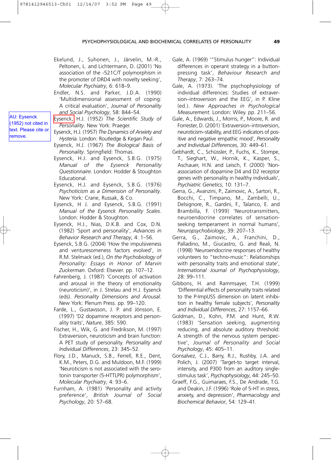- Ekelund, J., Suhonen, J., Järvelin, M.-R., Peltonen, L. and Lichtermann, D. (2001) 'No association of the -521C/T polymorphism in the promoter of DRD4 with novelty seeking', *Molecular Psychiatry*, 6: 618–9.
- Endler, N.S. and Parker, J.D.A. (1990) 'Multidimensional assessment of coping: A critical evaluation', *Journal of Personality and Social Psychology*, 58: 844–54.

Eysenck, H.J. (1952) *The Scientific Study of Personality*. New York: Praeger.

- Eysenck, H.J. (1957) *The Dynamics of Anxiety and Hysteria*. London: Routledge & Kegan Paul.
- Eysenck, H.J. (1967) *The Biological Basis of Personality*. Springfield: Thomas.
- Eysenck, H.J. and Eysenck, S.B.G. (1975) *Manual of the Eysenck Personality Questionnaire*. London: Hodder & Stoughton Educational.
- Eysenck, H.J. and Eysenck, S.B.G. (1976) *Psychoticism as a Dimension of Personality*. New York: Crane, Russak, & Co.
- Eysenck, H J. and Eysenck, S.B.G. (1991) *Manual of the Eysenck Personality Scales*. London: Hodder & Stoughton.
- Eysenck, H.J., Nias, D.K.B. and Cox, D.N. (1982) 'Sport and personality', *Advances in Behavior Research and Therapy*, 4: 1–56.
- Eysenck, S.B.G. (2004) 'How the impulsiveness and venturesomeness factors evolved', in R.M. Stelmack (ed.), *On the Psychobiology of Personality: Essays in Honor of Marvin Zuckerman*. Oxford: Elsevier. pp. 107–12.
- Fahrenberg, J. (1987) 'Concepts of activation and arousal in the theory of emotionality (neuroticism)', in J. Strelau and H.J. Eysenck (eds). *Personality Dimensions and Arousal*. New York: Plenum Press. pp. 99–120.
- Farde, L., Gustavsson, J. P. and Jönsson, E. (1997) 'D2 dopamine receptors and personality traits', *Nature*, 385: 590.
- Fischer, H., Wik, G. and Fredrikson, M. (1997) Extraversion, neuroticism and brain function: A PET study of personality. *Personality and Individual Differences*, 23: 345–52.
- Flory, J.D., Manuck, S.B., Ferrell, R.E., Dent, K.M., Peters, D.G. and Muldoon, M.F. (1999) 'Neuroticism is not associated with the serotonin transporter (5-HTTLPR) polymorphism', *Molecular Psychiatry*, 4: 93–6.
- Furnham, A. (1981) 'Personality and activity preference', *British Journal of Social Psychology*, 20: 57–68.
- Gale, A. (1969) '"Stimulus hunger": Individual differences in operant strategy in a buttonpressing task', *Behaviour Research and Therapy*, 7: 263–74.
- Gale, A. (1973). 'The psychophysiology of individual differences: Studies of extraversion–introversion and the EEG', in P. Kline (ed.). *New Approaches in Psychological Measurement*. London: Wiley. pp. 211–56.
- Gale, A., Edwards, J., Morris, P., Moore, R. and Forrester, D. (2001) 'Extraversion–introversion, neuroticism–stability, and EEG indicators of positive and negative empathic mood', *Personality and Individual Differences*, 30: 449–61.
- Gebhardt, C., Schüssler, P., Fuchs, K., Stompe, T., Sieghart, W., Hornik, K., Kasper, S., Aschauer, H.N. and Leisch, F. (2000) 'Nonassociation of dopamine D4 and D2 receptor genes with personality in healthy individuals', *Psychiatric Genetics*, 10: 131–7.
- Gerra, G., Avanzini, P., Zaimovic, A., Sartori, R., Bocchi, C., Timpano, M., Zambelli, U., Delsignore, R., Gardini, F., Talarico, E. and Brambilla, F. (1999) 'Neurotransmitters, neuroendocrine correlates of sensationseeking temperament in normal humans', *Neuropsychobiology*, 39: 207–13.
- Gerra, G., Zaimovic, A., Franchini, D., Palladino, M., Giucastro, G. and Reali, N. (1998) 'Neuroendocrine responses of healthy volunteers to "techno-music": Relationships with personality traits and emotional state', *International Journal of Psychophysiology*, 28: 99–111.
- Gibbons, H. and Rammsayer, T.H. (1999) 'Differential effects of personality traits related to the P-ImpUSS dimension on latent inhibition in healthy female subjects', *Personality and Individual Differences*, 27: 1157–66.
- Goldman, D., Kohn, P.M. and Hunt, R.W. (1983) 'Sensation seeking, augmenting reducing, and absolute auditory threshold: A strength of the nervous system perspective', *Journal of Personality and Social Psychology*, 45: 405–11.
- Gonsalvez, C.J., Barry, R.J., Rushby, J.A. and Polich, J. (2007) 'Target-to target interval, intensity, and P300 from an auditory singlestimulus task', *Psychophysiology*, 44: 245–50.
- Graeff, F.G., Guimaraes, F.S., De Andrade, T.G. and Deakin, J.F. (1996) 'Role of 5-HT in stress, anxiety, and depression', *Pharmacology and Biochemical Behavior*, 54: 129–41.

AU: Eysenck (1952) not cited in text. Please cite or remove.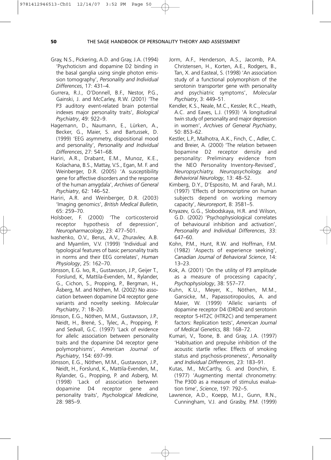- Gray, N.S., Pickering, A.D. and Gray, J.A. (1994) 'Psychoticism and dopamine D2 binding in the basal ganglia using single photon emission tomography', *Personality and Individual Differences*, 17: 431–4.
- Gurrera, R.J., O'Donnell, B.F., Nestor, P.G., Gainski, J. and McCarley, R.W. (2001) 'The P3 auditory event-related brain potential indexes major personality traits', *Biological Psychiatry*, 49: 922–9.
- Hagemann, D., Naumann, E., Lürken, A., Becker, G., Maier, S. and Bartussek, D. (1999) 'EEG asymmetry, dispositional mood and personality', *Personality and Individual Differences*, 27: 541–68.
- Hariri, A.R., Drabant, E.M., Munoz, K.E., Kolachana, B.S., Mattay, V.S., Egan, M. F. and Weinberger, D.R. (2005) 'A susceptibility gene for affective disorders and the response of the human amygdala', *Archives of General Psychiatry*, 62: 146–52.
- Hariri, A.R. and Weinberger, D.R. (2003) 'Imaging genomics', *British Medical Bulletin*, 65: 259–70.
- Holsboer, F. (2000) 'The corticosteroid receptor hypothesis of depression', *Neuropharmacology*, 23: 477–501.
- Ivashenko, O.V., Berus, A.V., Zhuravlev, A.B. and Myamlim, V.V. (1999) 'Individual and typological features of basic personality traits in norms and their EEG correlates', *Human Physiology*, 25: 162–70.
- Jönsson, E.G. Ivo, R., Gustavsson, J.P., Geijer T., Forslund, K, Mattila-Evenden, M., Rylander, G., Cichon, S., Propping, P., Bergman, H., Åsberg, M. and Nöthen, M. (2002) No association between dopamine D4 receptor gene variants and novelty seeking. *Molecular Psychiatry*, 7: 18–20.
- Jönsson, E.G., Nöthen, M.M., Gustavsson, J.P., Neidt, H., Brené, S., Tylec, A., Propping, P. and Sedvall, G.C. (1997) 'Lack of evidence for allelic association between personality traits and the dopamine D4 receptor gene polymorphisms', *American Journal of Psychiatry*, 154: 697–99.
- Jönsson, E.G., Nöthen, M.M., Gustavsson, J.P., Neidt, H., Forslund, K., Mattila-Evenden, M., Rylander, G., Propping, P. and Asberg, M. (1998) 'Lack of association between dopamine D4 receptor gene and personality traits', *Psychological Medicine*, 28: 985–9.
- Jorm, A.F., Henderson, A.S., Jacomb, P.A. Christensen, H., Korten, A.E., Rodgers, B., Tan, X. and Easteal, S. (1998) 'An association study of a functional polymorphism of the serotonin transporter gene with personality and psychiatric symptoms', *Molecular Psychiatry*, 3: 449–51.
- Kendler, K.S., Neale, M.C., Kessler, R.C., Heath, A.C. and Eaves, L.J. (1993) 'A longitudinal twin study of personality and major depression in women', *Archives of General Psychiatry*, 50: 853–62.
- Kestler, L.P., Malhotra, A.K., Finch, C., Adler, C. and Breier, A. (2000) 'The relation between bopamine D2 receptor density and personality: Preliminary evidence from the NEO Personality Inventory-Revised', *Neuropsychiatry, Neuropsychology, and Behavioral Neurology*, 13: 48–52.
- Kimberg, D.Y., D'Esposito, M. and Farah, M.J. (1997) 'Effects of bromocriptine on human subjects depend on working memory capacity', *Neuroreport*, 8: 3581–5.
- Knyazev, G.G., Slobodskaya, H.R. and Wilson, G.D. (2002) 'Psychophysiological correlates of behavioural inhibition and activation', *Personality and Individual Differences*, 33: 647–60.
- Kohn, P.M., Hunt, R.W. and Hoffman, F.M. (1982) 'Aspects of experience seeking', *Canadian Journal of Behavioral Science*, 14: 13–23.
- Kok, A. (2001) 'On the utility of P3 amplitude as a measure of processing capacity', *Psychophysiology*, 38: 557–77.
- Kuhn, K.U., Meyer, K., Nöthen, M.M., Gansicke, M., Papassotiropoulos, A. and Maier, W. (1999) 'Allelic variants of dopamine receptor D4 (DRD4) and serotonin receptor 5-HT2C (HTR2C) and temperament factors: Replication tests', *American Journal of Medical Genetics*, 88: 168–72.
- Kumari, V., Toone, B. and Gray, J.A. (1997) 'Habituation and prepulse inhibition of the acoustic startle reflex: Effects of smoking status and psychosis-proneness', *Personality and Individual Differences*, 23: 183–91.
- Kutas, M., McCarthy, G. and Donchin, E. (1977) 'Augmenting mental chronometry: The P300 as a measure of stimulus evaluation time', *Science*, 197: 792–5.
- Lawrence, A.D., Koepp, M.J., Gunn, R.N., Cunningham, V.J. and Grasby, P.M. (1999)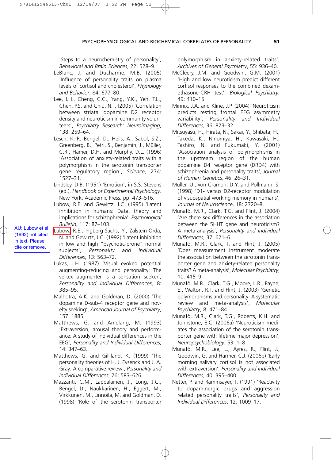'Steps to a neurochemistry of personality', *Behavioral and Brain Sciences*, 22: 528–9.

- LeBlanc, J. and Ducharme, M.B. (2005) 'Influence of personality traits on plasma levels of cortisol and cholesterol', *Physiology and Behavior*, 84: 677–80.
- Lee, I.H., Cheng, C.C., Yang, Y.K., Yeh, T.L., Chen, P.S. and Chiu, N.T. (2005) 'Correlation between striatal dopamine D2 receptor density and neuroticism in community volunteers', *Psychiatry Research: Neuroimaging*, 138: 259–64.
- Lesch, K.-P., Bengel, D., Heils, A., Sabol, S.Z., Greenberg, B., Petri, S., Benjamin, J., Müller, C.R., Hamer, D.H. and Murphy, D.L. (1996) 'Association of anxiety-related traits with a polymorphism in the serotonin transporter gene regulatory region', *Science*, 274: 1527–31.
- Lindsley, D.B. (1951) 'Emotion', in S.S. Stevens (ed.), *Handbook of Experimental Psychology*. New York: Academic Press. pp. 473–516.
- Lubow, R.E. and Gewirtz, J.C. (1995) 'Latent inhibition in humans: Data, theory and implications for schizophrenia', *Psychological Bulletin*, 117: 87–103.
- Lubow, R.E., Ingberg-Sachs, Y., Zalstein-Orda, N. and Gewirtz, J.C. (1992) 'Latent inhibition in low and high "psychotic-prone" normal subjects', *Personality and Individual Differences*, 13: 563–72.
- Lukas, J.H. (1987) 'Visual evoked potential augmenting-reducing and personality: The vertex augmenter is a sensation seeker', *Personality and Individual Differences*, 8: 385–95.
- Malhotra, A.K. and Goldman, D. (2000) 'The dopamine D-sub-4 receptor gene and novelty seeking', *American Journal of Psychiatry*, 157: 1885.
- Matthews, G. and Amelang, M. (1993) 'Extraversion, arousal theory and performance: A study of individual differences in the EEG', *Personality and Individual Differences*, 14: 347–63.
- Matthews, G. and Gilliland, K. (1999) 'The personality theories of H. J. Eysenck and J. A. Gray: A comparative review', *Personality and Individual Differences*, 26: 583–626.
- Mazzanti, C.M., Lappalainen, J., Long, J.C., Bengel, D., Naukkarinen, H., Eggert, M., Virkkunen, M., Linnoila, M. and Goldman, D. (1998) 'Role of the serotonin transporter

polymorphism in anxiety-related traits', *Archives of General Psychiatry*, 55: 936–40.

- McCleery, J.M. and Goodwin, G.M. (2001) 'High and low neuroticism predict different cortisol responses to the combined dexamethasone-CRH test', *Biological Psychiatry*, 49: 410–15.
- Minnix, J.A. and Kline, J.P. (2004) 'Neuroticism predicts resting frontal EEG asymmetry variability', *Personality and Individual Differences*, 36: 823–32.
- Mitsuyasu, H., Hirata, N., Sakai, Y., Shibata, H., Takeda, K., Ninomiya, H., Kawasaki, H., Tashiro, N. and Fukumaki, Y. (2001) 'Association analysis of polymorphisms in the upstream region of the human dopamine D4 receptor gene (DRD4) with schizophrenia and personality traits', *Journal of Human Genetics*, 46: 26–31.
- Müller, U., von Cramon, D.Y. and Pollmann, S. (1998) 'D1- versus D2-receptor modulation of visuospatial working memory in humans', *Journal of Neuroscience*, 18: 2720–8.
- Munafò, M.R., Clark, T.G. and Flint, J. (2004) 'Are there sex differences in the association between the 5HHT gene and neuroticism? A meta-analysis', *Personality and Individual Differences*, 37: 621–6.
- Munafò, M.R., Clark, T. and Flint, J. (2005) 'Does measurement instrument moderate the association between the serotonin transporter gene and anxiety-related personality traits? A meta-analysis', *Molecular Psychiatry*, 10: 415–9.
- Munafò, M.R., Clark, T.G., Moore, L.R., Payne, E., Walton, R.T. and Flint, J. (2003) 'Genetic polymorphisms and personality: A systematic review and meta-analysis', *Molecular Psychiatry*, 8: 471–84.
- Munafò, M.R., Clark, T.G., Roberts, K.H. and Johnstone, E.C. (2006a) 'Neuroticism mediates the association of the serotonin transporter gene with lifetime major depression', *Neuropsychobiology*, 53: 1–8.
- Munafò, M.R., Lee, L., Ayres, R., Flint, J., Goodwin, G. and Harmer, C.J. (2006b) 'Early morning salivary cortisol is not associated with extraversion', *Personality and Individual Differences*, 40: 395–400.
- Netter, P. and Rammsayer, T. (1991) 'Reactivity to dopaminergic drugs and aggression related personality traits', *Personality and Individual Differences*, 12: 1009–17.

AU: Lubow et al (1992) not cited in text. Please cite or remove.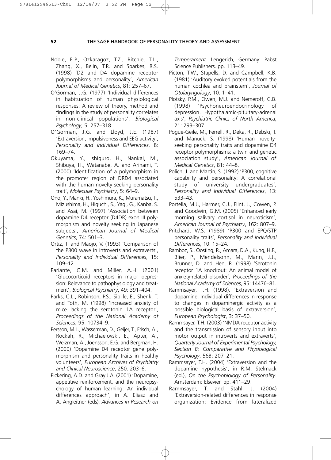- Noble, E.P., Ozkaragoz, T.Z., Ritchie, T.L., Zhang, X., Belin, T.R. and Sparkes, R.S. (1998) 'D2 and D4 dopamine receptor polymorphisms and personality', *American Journal of Medical Genetics*, 81: 257–67.
- O'Gorman, J.G. (1977) 'Individual differences in habituation of human physiological responses: A review of theory, method and findings in the study of personality correlates in non-clinical populations', *Biological Psychology*, 5: 257–318.
- O'Gorman, J.G. and Lloyd, J.E. (1987) 'Extraversion, impulsiveness and EEG activity', *Personality and Individual Differences*, 8: 169–74.
- Okuyama, Y., Ishiguro, H., Nankai, M., Shibuya, H., Watanabe, A. and Arinami, T. (2000) 'Identification of a polymorphism in the promoter region of DRD4 associated with the human novelty seeking personality trait', *Molecular Psychiatry*, 5: 64–9.
- Ono, Y., Manki, H., Yoshimura, K., Muramatsu, T., Mizushima, H., Higuchi, S., Yagi, G., Kanba, S. and Asai, M. (1997) 'Association between dopamine D4 receptor (D4DR) exon III polymorphism and novelty seeking in Japanese subjects', *American Journal of Medical Genetics*, 74: 501–3.
- Ortiz, T. and Maojo, V. (1993) 'Comparison of the P300 wave in introverts and extraverts', *Personality and Individual Differences*, 15: 109–12.
- Pariante, C.M. and Miller, A.H. (2001) 'Glucocorticoid receptors in major depression: Relevance to pathophysiology and treatment', *Biological Psychiatry*, 49: 391–404.
- Parks, C.L., Robinson, P.S., Sibille, E., Shenk, T. and Toth, M. (1998) 'Increased anxiety of mice lacking the serotonin 1A receptor', *Proceedings of the National Academy of Sciences*, 95: 10734–9.
- Persson, M.L., Wasserman, D., Geijer, T., Frisch, A., Rockah, R., Michaelovski, E., Apter, A., Weizman, A., Joensson, E.G. and Bergman, H. (2000) 'Dopamine D4 receptor gene polymorphism and personality traits in healthy volunteers', *European Archives of Psychiatry and Clinical Neuroscience*, 250: 203–6.
- Pickering, A.D. and Gray J.A. (2001) 'Dopamine, appetitive reinforcement, and the neuropsychology of human learning: An individual differences approach', in A. Eliasz and A. Angleitner (eds), *Advances in Research on*

*Temperament*. Lengerich, Germany: Pabst Science Publishers. pp. 113–49.

- Picton, T.W., Stapells, D. and Campbell, K.B. (1981) 'Auditory evoked potentials from the human cochlea and brainstem', *Journal of Otolaryngology*, 10: 1–41.
- Plotsky, P.M., Owen, M.J. and Nemeroff, C.B. (1998) 'Psychoneuroendocrinology of depression. Hypothalamic-pituitary-adrenal axis', *Psychiatric Clinics of North America*, 21: 293–307.
- Pogue-Geile, M., Ferrell, R., Deka, R., Debski, T. and Manuck, S. (1998) 'Human noveltyseeking personality traits and dopamine D4 receptor polymorphisms: a twin and genetic association study', *American Journal of Medical Genetics*, 81: 44–8.
- Polich, J. and Martin, S. (1992) 'P300, cognitive capability and personality: A correlational study of university undergraduates', *Personality and Individual Differences*, 13: 533–43.
- Portella, M.J., Harmer, C.J., Flint, J., Cowen, P. and Goodwin, G.M. (2005) 'Enhanced early morning salivary cortisol in neuroticism', *American Journal of Psychiatry*, 162: 807–9.
- Pritchard, W.S. (1989) 'P300 and EPQ/STP personality traits', *Personality and Individual Differences*, 10: 15–24.
- Ramboz, S., Oosting, R., Amara, D.A., Kung, H.F., Blier, P., Mendelsohn, M., Mann, J.J., Brunner, D. and Hen, R. (1998) 'Serotonin receptor 1A knockout: An animal model of anxiety-related disorder', *Proceedings of the National Academy of Sciences*, 95: 14476–81.
- Rammsayer, T.H. (1998). 'Extraversion and dopamine. Individual differences in response to changes in dopaminergic activity as a possible biological basis of extraversion', *European Psychologist*, 3: 37–50.
- Rammsayer, T.H. (2003) 'NMDA receptor activity and the transmission of sensory input into motor output in introverts and extraverts', *Quarterly Journal of Experimental Psychology, Section B: Comparative and Physiological Psychology*, 56B: 207–21.
- Rammsayer, T.H. (2004) 'Extraversion and the dopamine hypothesis', in R.M. Stelmack (ed.), *On the Psychobiology of Personality*. Amsterdam: Elsevier. pp. 411–29.
- Rammsayer, T. and Stahl, J. (2004) 'Extraversion-related differences in response organization: Evidence from lateralized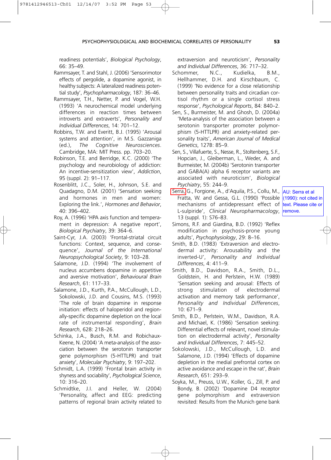readiness potentials', *Biological Psychology*, 66: 35–49.

- Rammsayer, T. and Stahl, J. (2006) 'Sensorimotor effects of pergolide, a dopamine agonist, in healthy subjects: A lateralized readiness potential study', *Psychopharmacology*, 187: 36–46.
- Rammsayer, T.H., Netter, P. and Vogel, W.H. (1993) 'A neurochemical model underlying differences in reaction times between introverts and extraverts', *Personality and Individual Differences*, 14: 701–12.
- Robbins, T.W. and Everitt, B.J. (1995) 'Arousal systems and attention', in M.S. Gazzaniga (ed.), *The Cognitive Neurosciences*. Cambridge, MA: MIT Press. pp. 703–20.
- Robinson, T.E. and Berridge, K.C. (2000) 'The psychology and neurobiology of addiction: An incentive-sensitization view', *Addiction*, 95 (suppl. 2): 91–117.
- Rosenblitt, J.C., Soler, H., Johnson, S.E. and Quadagno, D.M. (2001) 'Sensation seeking and hormones in men and women: Exploring the link.', *Hormones and Behavior*, 40: 396–402.
- Roy, A. (1996) 'HPA axis function and temperament in depression: A negative report', *Biological Psychiatry*, 39: 364–6.
- Saint-Cyr, J.A. (2003) 'Frontal-striatal circuit functions: Context, sequence, and consequence', *Journal of the International Neuropsychological Society*, 9: 103–28.
- Salamone, J.D. (1994) 'The involvement of nucleus accumbens dopamine in appetitive and aversive motivation', *Behavioural Brain Research*, 61: 117–33.
- Salamone, J.D., Kurth, P.A., McCullough, L.D., Sokolowski, J.D. and Cousins, M.S. (1993) 'The role of brain dopamine in response initiation: effects of haloperidol and regionally-specific dopamine depletion on the local rate of instrumental responding', *Brain Research*, 628: 218–26.
- Schinka, J.A., Busch, R.M. and Robichaux-Keene, N. (2004) 'A meta-analysis of the association between the serotonin transporter gene polymorphism (5-HTTLPR) and trait anxiety', *Molecular Psychiatry*, 9: 197–202.
- Schmidt, L.A. (1999) 'Frontal brain activity in shyness and sociability', *Psychological Science*, 10: 316–20.
- Schmidtke, J.I. and Heller, W. (2004) 'Personality, affect and EEG: predicting patterns of regional brain activity related to

extraversion and neuroticism', *Personality and Individual Differences*, 36: 717–32.

- Schommer, N.C., Kudielka, B.M., Hellhammer, D.H. and Kirschbaum, C. (1999) 'No evidence for a close relationship between personality traits and circadian cortisol rhythm or a single cortisol stress response', *Psychological Reports*, 84: 840–2.
- Sen, S., Burmeister, M. and Ghosh, D. (2004a) 'Meta-analysis of the association between a serotonin transporter promoter polymorphism (5-HTTLPR) and anxiety-related personality traits', *American Journal of Medical Genetics*, 127B: 85–9.
- Sen, S., Villafuerte, S., Nesse, R., Stoltenberg, S.F., Hopcian, J., Gleiberman, L., Weder, A. and Burmeister, M. (2004b) 'Serotonin transporter and GABA(A) alpha 6 receptor variants are associated with neuroticism', *Biological Psychiatry*, 55: 244–9.
- Serra, G., Forgione, A., d'Aquila, P.S., Collu, M., Fratta, W. and Gessa, G.L. (1990) 'Possible mechanisms of antidepressant effect of L-sulpiride', *Clinical Neuropharmacology*, 13 (suppl. 1): S76–83.
- Simons, R.F. and Giardina, B.D. (1992) 'Reflex modification in psychosis-prone young adults', *Psychophysiology*, 29: 8–16.
- Smith, B.D. (1983) 'Extraversion and electrodermal activity: Arousability and the inverted-U', *Personality and Individual Differences*, 4: 411–9.
- Smith, B.D., Davidson, R.A., Smith, D.L., Goldstein, H. and Perlstein, H.W. (1989) 'Sensation seeking and arousal: Effects of strong stimulation of electrodermal activation and memory task performance', *Personality and Individual Differences*, 10: 671–9.
- Smith, B.D., Perlstein, W.M., Davidson, R.A. and Michael, K. (1986) 'Sensation seeking: Differential effects of relevant, novel stimulation on electrodermal activity', *Personality and Individual Differences*, 7: 445–52.
- Sokolowski, J.D., McCullough, L.D. and Salamone, J.D. (1994) 'Effects of dopamine depletion in the medial prefrontal cortex on active avoidance and escape in the rat', *Brain Research*, 651: 293–9.
- Soyka, M., Preuss, U.W., Koller, G., Zill, P. and Bondy, B. (2002) 'Dopamine D4 receptor gene polymorphism and extraversion revisited: Results from the Munich gene bank

AU: Serra et al (1990): not cited in text. Please cite or remove.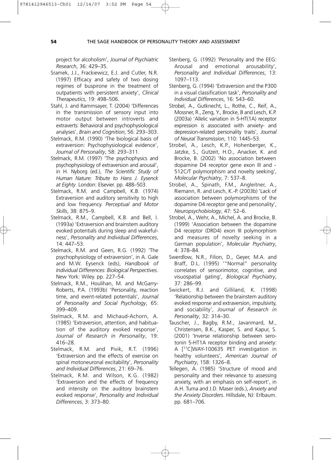project for alcoholism', *Journal of Psychiatric Research*, 36: 429–35.

- Sramek, J.J., Frackiewicz, E.J. and Cutler, N.R. (1997) Efficacy and safety of two dosing regimes of buspirone in the treatment of outpatients with persistent anxiety', *Clinical Therapeutics*, 19: 498–506.
- Stahl, J. and Rammsayer, T. (2004) 'Differences in the transmission of sensory input into motor output between introverts and extraverts: Behavioral and psychophysiological analyses', *Brain and Cognition*, 56: 293–303.
- Stelmack, R.M. (1990) 'The biological basis of extraversion: Psychophysiological evidence', *Journal of Personality*, 58: 293–311.
- Stelmack, R.M. (1997) 'The psychophysics and psychophysiology of extraversion and arousal', in H. Nyborg (ed.), *The Scientific Study of Human Nature: Tribute to Hans J. Eysenck at Eighty*. London: Elsevier. pp. 488–503.
- Stelmack, R.M. and Campbell, K.B. (1974) Extraversion and auditory sensitivity to high and low frequency. *Perceptual and Motor Skills*, 38: 875–9.
- Stelmack, R.M., Campbell, K.B. and Bell, I. (1993a) 'Extraversion and brainstem auditory evoked potentials during sleep and wakefulness', *Personality and Individual Differences*, 14: 447–53.
- Stelmack, R.M. and Geen, R.G. (1992) 'The psychophysiology of extraversion', in A. Gale and M.W. Eysenck (eds), *Handbook of Individual Differences: Biological Perspectives*. New York: Wiley. pp. 227–54.
- Stelmack, R.M., Houlihan, M. and McGarry-Roberts, P.A. (1993b) 'Personality, reaction time, and event-related potentials', *Journal of Personality and Social Psychology*, 65: 399–409.
- Stelmack, R.M. and Michaud-Achorn, A. (1985) 'Extraversion, attention, and habituation of the auditory evoked response', *Journal of Research in Personality*, 19: 416–28.
- Stelmack, R.M. and Pivik, R.T. (1996) 'Extraversion and the effects of exercise on spinal motoneuronal excitability', *Personality and Individual Differences*, 21: 69–76.
- Stelmack, R.M. and Wilson, K.G. (1982) 'Extraversion and the effects of frequency and intensity on the auditory brainstem evoked response', *Personality and Individual Differences*, 3: 373–80.
- Stenberg, G. (1992) 'Personality and the EEG: Arousal and emotional arousability', *Personality and Individual Differences*, 13: 1097–113.
- Stenberg, G. (1994) 'Extraversion and the P300 in a visual classification task', *Personality and Individual Differences*, 16: 543–60.
- Strobel, A., Gutknecht, L., Rothe, C., Reif, A., Mossner, R., Zeng, Y., Brocke, B and Lesch, K.P. (2003a) 'Allelic variation in 5-HT(1A) receptor expression is associated with anxiety- and depression-related personality traits', *Journal of Neural Transmission*, 110: 1445–53.
- Strobel, A., Lesch, K.P., Hohenberger, K., Jatzke, S., Gutzeit, H.O., Anacker, K. and Brocke, B. (2002) 'No association between dopamine D4 receptor gene exon III and - 512C/T polymorphism and novelty seeking', *Molecular Psychiatry*, 7: 537–8.
- Strobel, A., Spinath, F.M., Angleitner, A., Riemann, R. and Lesch, K.-P. (2003b) 'Lack of association between polymorphisms of the dopamine D4 receptor gene and personality', *Neuropsychobiology*, 47: 52–6.
- Strobel, A., Wehr, A., Michel, A. and Brocke, B. (1999) 'Association between the dopamine D4 receptor (DRD4) exon III polymorphism and measures of novelty seeking in a German population', *Molecular Psychiatry*, 4: 378–84.
- Swerdlow, N.R., Filion, D., Geyer, M.A. and Braff, D.L. (1995) '"Normal" personality correlates of sensorimotor, cognitive, and visuospatial gating', *Biological Psychiatry*, 37: 286–99.
- Swickert, R.J. and Gilliland, K. (1998) 'Relationship between the brainstem auditory evoked response and extraversion, impulsivity, and sociability', *Journal of Research in Personality*, 32: 314–30.
- Tauscher, J., Bagby, R.M., Javanmard, M., Christensen, B.K., Kasper, S. and Kapur, S. (2001) 'Inverse relationship between serotonin 5-HT1A receptor binding and anxiety: A [11C]WAY-100635 PET investigation in healthy volunteers', *American Journal of Psychiatry*, 158: 1326–8.
- Tellegen, A. (1985) 'Structure of mood and personality and their relevance to assessing anxiety, with an emphasis on self-report', in A.H. Tuma and J.D. Maser (eds.), *Anxiety and the Anxiety Disorders*. Hillsdale, NJ: Erlbaum. pp. 681–706.